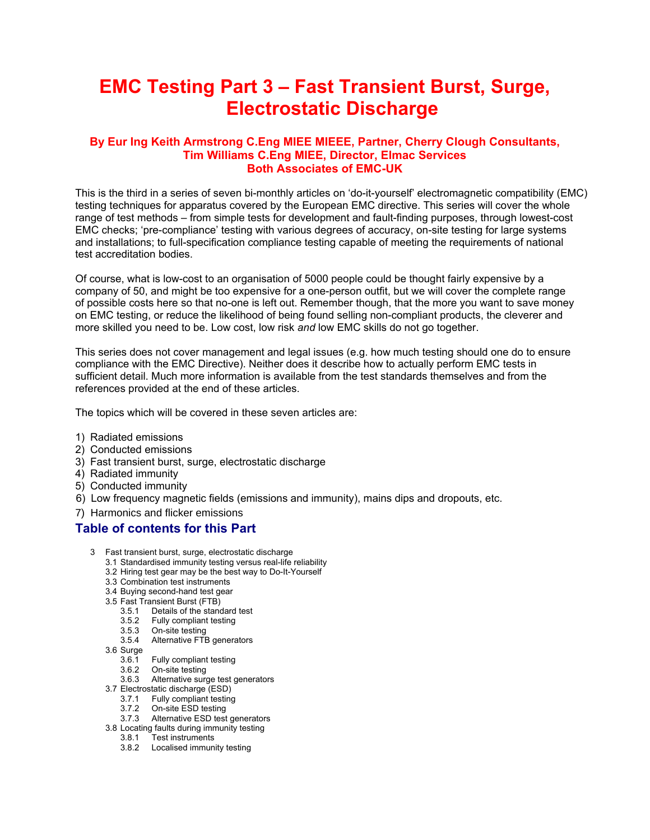# **EMC Testing Part 3 – Fast Transient Burst, Surge, Electrostatic Discharge**

# **By Eur Ing Keith Armstrong C.Eng MIEE MIEEE, Partner, Cherry Clough Consultants, Tim Williams C.Eng MIEE, Director, Elmac Services Both Associates of EMC-UK**

This is the third in a series of seven bi-monthly articles on 'do-it-yourself' electromagnetic compatibility (EMC) testing techniques for apparatus covered by the European EMC directive. This series will cover the whole range of test methods – from simple tests for development and fault-finding purposes, through lowest-cost EMC checks; 'pre-compliance' testing with various degrees of accuracy, on-site testing for large systems and installations; to full-specification compliance testing capable of meeting the requirements of national test accreditation bodies.

Of course, what is low-cost to an organisation of 5000 people could be thought fairly expensive by a company of 50, and might be too expensive for a one-person outfit, but we will cover the complete range of possible costs here so that no-one is left out. Remember though, that the more you want to save money on EMC testing, or reduce the likelihood of being found selling non-compliant products, the cleverer and more skilled you need to be. Low cost, low risk *and* low EMC skills do not go together.

This series does not cover management and legal issues (e.g. how much testing should one do to ensure compliance with the EMC Directive). Neither does it describe how to actually perform EMC tests in sufficient detail. Much more information is available from the test standards themselves and from the references provided at the end of these articles.

The topics which will be covered in these seven articles are:

- 1) Radiated emissions
- 2) Conducted emissions
- 3) Fast transient burst, surge, electrostatic discharge
- 4) Radiated immunity
- 5) Conducted immunity
- 6) Low frequency magnetic fields (emissions and immunity), mains dips and dropouts, etc.
- 7) Harmonics and flicker emissions

# **Table of contents for this Part**

- 3 Fast transient burst, surge, electrostatic discharge
	- 3.1 Standardised immunity testing versus real-life reliability
	- 3.2 Hiring test gear may be the best way to Do-It-Yourself
	- 3.3 Combination test instruments
	- 3.4 Buying second-hand test gear
	- 3.5 Fast Transient Burst (FTB)
- 3.5.1 Details of the standard test
- 3.5.2 Fully compliant testing
	- 3.5.3 On-site testing
	- 3.5.4 Alternative FTB generators
	- 3.6 Surge
		- 3.6.1 Fully compliant testing
- 3.6.2 On-site testing
- 3.6.3 Alternative surge test generators
	- 3.7 Electrostatic discharge (ESD)
		- 3.7.1 Fully compliant testing
- 3.7.2 On-site ESD testing
- 3.7.3 Alternative ESD test generators 3.8 Locating faults during immunity testing
	- 3.8.1 Test instruments
	- 3.8.2 Localised immunity testing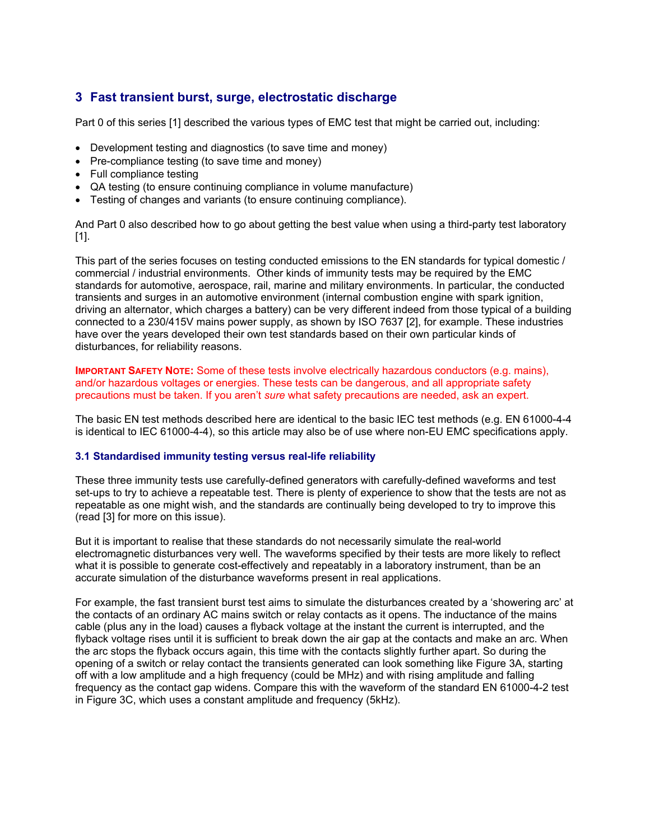# **3 Fast transient burst, surge, electrostatic discharge**

Part 0 of this series [1] described the various types of EMC test that might be carried out, including:

- Development testing and diagnostics (to save time and money)
- Pre-compliance testing (to save time and money)
- Full compliance testing
- QA testing (to ensure continuing compliance in volume manufacture)
- Testing of changes and variants (to ensure continuing compliance).

And Part 0 also described how to go about getting the best value when using a third-party test laboratory [1].

This part of the series focuses on testing conducted emissions to the EN standards for typical domestic / commercial / industrial environments. Other kinds of immunity tests may be required by the EMC standards for automotive, aerospace, rail, marine and military environments. In particular, the conducted transients and surges in an automotive environment (internal combustion engine with spark ignition, driving an alternator, which charges a battery) can be very different indeed from those typical of a building connected to a 230/415V mains power supply, as shown by ISO 7637 [2], for example. These industries have over the years developed their own test standards based on their own particular kinds of disturbances, for reliability reasons.

**IMPORTANT SAFETY NOTE:** Some of these tests involve electrically hazardous conductors (e.g. mains), and/or hazardous voltages or energies. These tests can be dangerous, and all appropriate safety precautions must be taken. If you aren't *sure* what safety precautions are needed, ask an expert.

The basic EN test methods described here are identical to the basic IEC test methods (e.g. EN 61000-4-4 is identical to IEC 61000-4-4), so this article may also be of use where non-EU EMC specifications apply.

#### **3.1Standardised immunity testing versus real-life reliability**

These three immunity tests use carefully-defined generators with carefully-defined waveforms and test set-ups to try to achieve a repeatable test. There is plenty of experience to show that the tests are not as repeatable as one might wish, and the standards are continually being developed to try to improve this (read [3] for more on this issue).

But it is important to realise that these standards do not necessarily simulate the real-world electromagnetic disturbances very well. The waveforms specified by their tests are more likely to reflect what it is possible to generate cost-effectively and repeatably in a laboratory instrument, than be an accurate simulation of the disturbance waveforms present in real applications.

For example, the fast transient burst test aims to simulate the disturbances created by a 'showering arc' at the contacts of an ordinary AC mains switch or relay contacts as it opens. The inductance of the mains cable (plus any in the load) causes a flyback voltage at the instant the current is interrupted, and the flyback voltage rises until it is sufficient to break down the air gap at the contacts and make an arc. When the arc stops the flyback occurs again, this time with the contacts slightly further apart. So during the opening of a switch or relay contact the transients generated can look something like Figure 3A, starting off with a low amplitude and a high frequency (could be MHz) and with rising amplitude and falling frequency as the contact gap widens. Compare this with the waveform of the standard EN 61000-4-2 test in Figure 3C, which uses a constant amplitude and frequency (5kHz).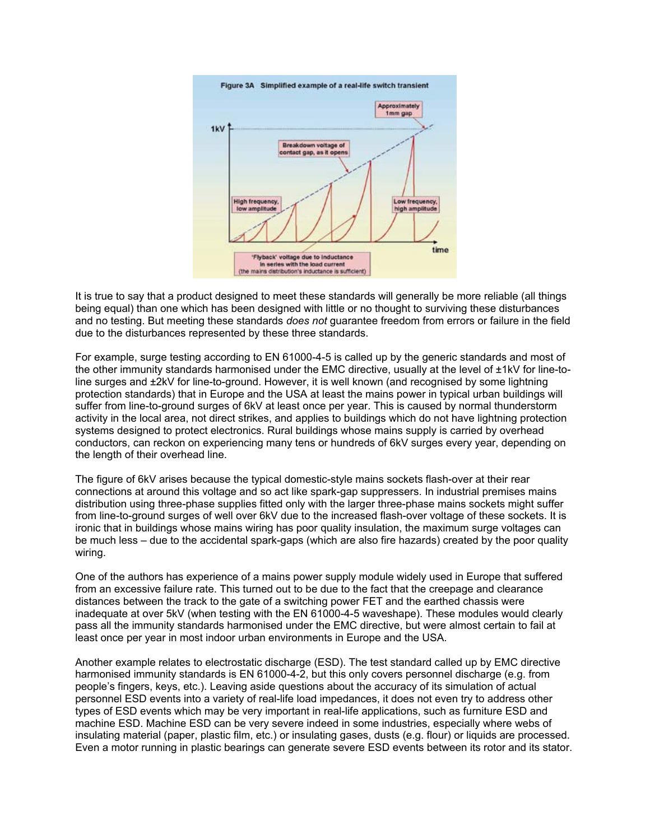

It is true to say that a product designed to meet these standards will generally be more reliable (all things being equal) than one which has been designed with little or no thought to surviving these disturbances and no testing. But meeting these standards *does not* guarantee freedom from errors or failure in the field due to the disturbances represented by these three standards.

For example, surge testing according to EN 61000-4-5 is called up by the generic standards and most of the other immunity standards harmonised under the EMC directive, usually at the level of ±1kV for line-toline surges and ±2kV for line-to-ground. However, it is well known (and recognised by some lightning protection standards) that in Europe and the USA at least the mains power in typical urban buildings will suffer from line-to-ground surges of 6kV at least once per year. This is caused by normal thunderstorm activity in the local area, not direct strikes, and applies to buildings which do not have lightning protection systems designed to protect electronics. Rural buildings whose mains supply is carried by overhead conductors, can reckon on experiencing many tens or hundreds of 6kV surges every year, depending on the length of their overhead line.

The figure of 6kV arises because the typical domestic-style mains sockets flash-over at their rear connections at around this voltage and so act like spark-gap suppressers. In industrial premises mains distribution using three-phase supplies fitted only with the larger three-phase mains sockets might suffer from line-to-ground surges of well over 6kV due to the increased flash-over voltage of these sockets. It is ironic that in buildings whose mains wiring has poor quality insulation, the maximum surge voltages can be much less – due to the accidental spark-gaps (which are also fire hazards) created by the poor quality wiring.

One of the authors has experience of a mains power supply module widely used in Europe that suffered from an excessive failure rate. This turned out to be due to the fact that the creepage and clearance distances between the track to the gate of a switching power FET and the earthed chassis were inadequate at over 5kV (when testing with the EN 61000-4-5 waveshape). These modules would clearly pass all the immunity standards harmonised under the EMC directive, but were almost certain to fail at least once per year in most indoor urban environments in Europe and the USA.

Another example relates to electrostatic discharge (ESD). The test standard called up by EMC directive harmonised immunity standards is EN 61000-4-2, but this only covers personnel discharge (e.g. from people's fingers, keys, etc.). Leaving aside questions about the accuracy of its simulation of actual personnel ESD events into a variety of real-life load impedances, it does not even try to address other types of ESD events which may be very important in real-life applications, such as furniture ESD and machine ESD. Machine ESD can be very severe indeed in some industries, especially where webs of insulating material (paper, plastic film, etc.) or insulating gases, dusts (e.g. flour) or liquids are processed. Even a motor running in plastic bearings can generate severe ESD events between its rotor and its stator.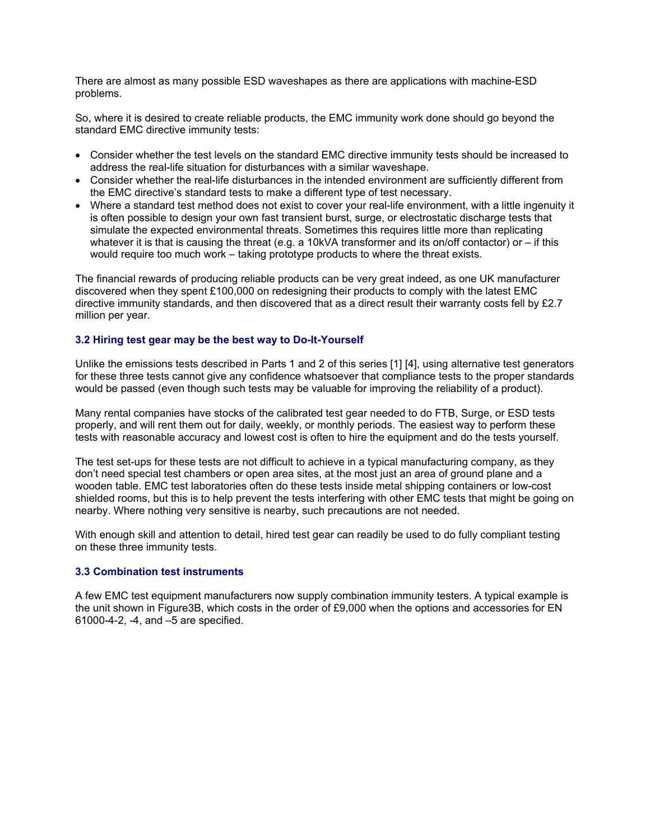There are almost as many possible ESD waveshapes as there are applications with machine-ESD problems.

So, where it is desired to create reliable products, the EMC immunity work done should go beyond the standard EMC directive immunity tests:

- Consider whether the test levels on the standard EMC directive immunity tests should be increased to address the real-life situation for disturbances with a similar waveshape.
- Consider whether the real-life disturbances in the intended environment are sufficiently different from the EMC directive's standard tests to make a different type of test necessary.
- Where a standard test method does not exist to cover your real-life environment, with a little ingenuity it is often possible to design your own fast transient burst, surge, or electrostatic discharge tests that simulate the expected environmental threats. Sometimes this requires little more than replicating whatever it is that is causing the threat (e.g. a 10kVA transformer and its on/off contactor) or – if this would require too much work – taking prototype products to where the threat exists.

The financial rewards of producing reliable products can be very great indeed, as one UK manufacturer discovered when they spent £100,000 on redesigning their products to comply with the latest EMC directive immunity standards, and then discovered that as a direct result their warranty costs fell by £2.7 million per year.

#### **3.2 Hiring test gear may be the best way to Do-It-Yourself**

Unlike the emissions tests described in Parts 1 and 2 of this series [1] [4], using alternative test generators for these three tests cannot give any confidence whatsoever that compliance tests to the proper standards would be passed (even though such tests may be valuable for improving the reliability of a product).

Many rental companies have stocks of the calibrated test gear needed to do FTB, Surge, or ESD tests properly, and will rent them out for daily, weekly, or monthly periods. The easiest way to perform these tests with reasonable accuracy and lowest cost is often to hire the equipment and do the tests yourself.

The test set-ups for these tests are not difficult to achieve in a typical manufacturing company, as they don't need special test chambers or open area sites, at the most just an area of ground plane and a wooden table. EMC test laboratories often do these tests inside metal shipping containers or low-cost shielded rooms, but this is to help prevent the tests interfering with other EMC tests that might be going on nearby. Where nothing very sensitive is nearby, such precautions are not needed.

With enough skill and attention to detail, hired test gear can readily be used to do fully compliant testing on these three immunity tests.

#### **3.3Combination test instruments**

A few EMC test equipment manufacturers now supply combination immunity testers. A typical example is the unit shown in Figure3B, which costs in the order of £9,000 when the options and accessories for EN 61000-4-2, -4, and –5 are specified.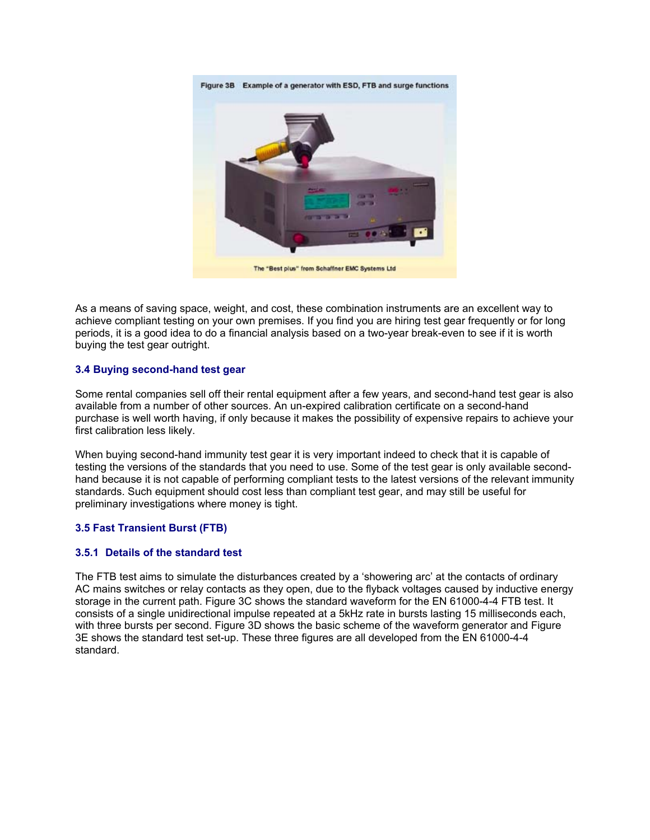

As a means of saving space, weight, and cost, these combination instruments are an excellent way to achieve compliant testing on your own premises. If you find you are hiring test gear frequently or for long periods, it is a good idea to do a financial analysis based on a two-year break-even to see if it is worth buying the test gear outright.

# **3.4Buying second-hand test gear**

Some rental companies sell off their rental equipment after a few years, and second-hand test gear is also available from a number of other sources. An un-expired calibration certificate on a second-hand purchase is well worth having, if only because it makes the possibility of expensive repairs to achieve your first calibration less likely.

When buying second-hand immunity test gear it is very important indeed to check that it is capable of testing the versions of the standards that you need to use. Some of the test gear is only available secondhand because it is not capable of performing compliant tests to the latest versions of the relevant immunity standards. Such equipment should cost less than compliant test gear, and may still be useful for preliminary investigations where money is tight.

# **3.5 Fast Transient Burst (FTB)**

#### **3.5.1 Details of the standard test**

The FTB test aims to simulate the disturbances created by a 'showering arc' at the contacts of ordinary AC mains switches or relay contacts as they open, due to the flyback voltages caused by inductive energy storage in the current path. Figure 3C shows the standard waveform for the EN 61000-4-4 FTB test. It consists of a single unidirectional impulse repeated at a 5kHz rate in bursts lasting 15 milliseconds each, with three bursts per second. Figure 3D shows the basic scheme of the waveform generator and Figure 3E shows the standard test set-up. These three figures are all developed from the EN 61000-4-4 standard.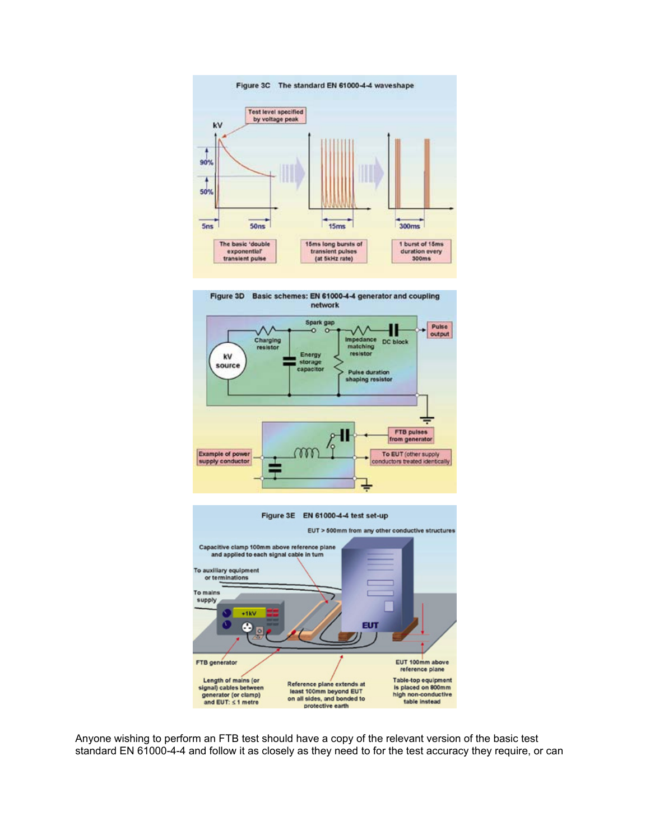





Anyone wishing to perform an FTB test should have a copy of the relevant version of the basic test standard EN 61000-4-4 and follow it as closely as they need to for the test accuracy they require, or can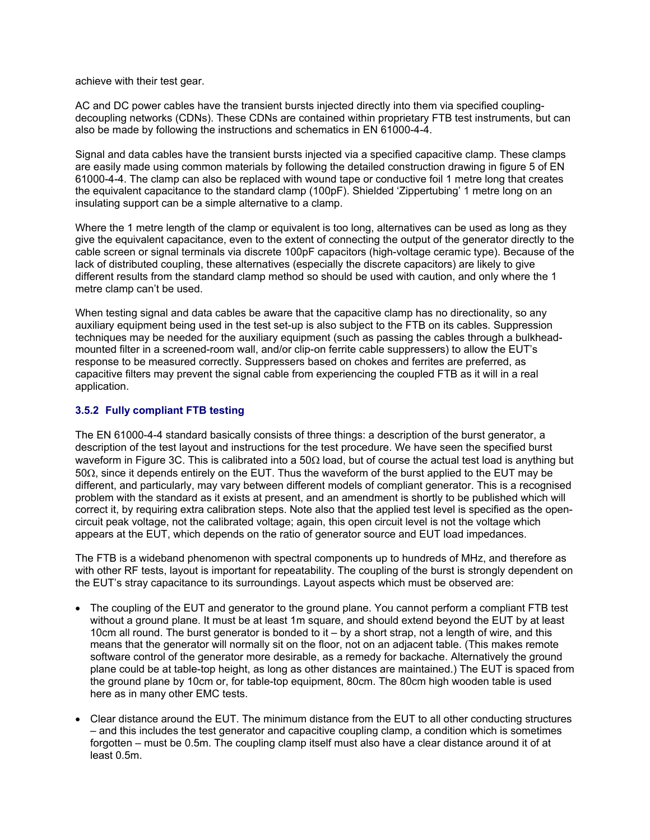achieve with their test gear.

AC and DC power cables have the transient bursts injected directly into them via specified couplingdecoupling networks (CDNs). These CDNs are contained within proprietary FTB test instruments, but can also be made by following the instructions and schematics in EN 61000-4-4.

Signal and data cables have the transient bursts injected via a specified capacitive clamp. These clamps are easily made using common materials by following the detailed construction drawing in figure 5 of EN 61000-4-4. The clamp can also be replaced with wound tape or conductive foil 1 metre long that creates the equivalent capacitance to the standard clamp (100pF). Shielded 'Zippertubing' 1 metre long on an insulating support can be a simple alternative to a clamp.

Where the 1 metre length of the clamp or equivalent is too long, alternatives can be used as long as they give the equivalent capacitance, even to the extent of connecting the output of the generator directly to the cable screen or signal terminals via discrete 100pF capacitors (high-voltage ceramic type). Because of the lack of distributed coupling, these alternatives (especially the discrete capacitors) are likely to give different results from the standard clamp method so should be used with caution, and only where the 1 metre clamp can't be used.

When testing signal and data cables be aware that the capacitive clamp has no directionality, so any auxiliary equipment being used in the test set-up is also subject to the FTB on its cables. Suppression techniques may be needed for the auxiliary equipment (such as passing the cables through a bulkheadmounted filter in a screened-room wall, and/or clip-on ferrite cable suppressers) to allow the EUT's response to be measured correctly. Suppressers based on chokes and ferrites are preferred, as capacitive filters may prevent the signal cable from experiencing the coupled FTB as it will in a real application.

# **3.5.2 Fully compliant FTB testing**

The EN 61000-4-4 standard basically consists of three things: a description of the burst generator, a description of the test layout and instructions for the test procedure. We have seen the specified burst waveform in Figure 3C. This is calibrated into a 50Ω load, but of course the actual test load is anything but 50Ω, since it depends entirely on the EUT. Thus the waveform of the burst applied to the EUT may be different, and particularly, may vary between different models of compliant generator. This is a recognised problem with the standard as it exists at present, and an amendment is shortly to be published which will correct it, by requiring extra calibration steps. Note also that the applied test level is specified as the opencircuit peak voltage, not the calibrated voltage; again, this open circuit level is not the voltage which appears at the EUT, which depends on the ratio of generator source and EUT load impedances.

The FTB is a wideband phenomenon with spectral components up to hundreds of MHz, and therefore as with other RF tests, layout is important for repeatability. The coupling of the burst is strongly dependent on the EUT's stray capacitance to its surroundings. Layout aspects which must be observed are:

- The coupling of the EUT and generator to the ground plane. You cannot perform a compliant FTB test without a ground plane. It must be at least 1m square, and should extend beyond the EUT by at least 10cm all round. The burst generator is bonded to it – by a short strap, not a length of wire, and this means that the generator will normally sit on the floor, not on an adjacent table. (This makes remote software control of the generator more desirable, as a remedy for backache. Alternatively the ground plane could be at table-top height, as long as other distances are maintained.) The EUT is spaced from the ground plane by 10cm or, for table-top equipment, 80cm. The 80cm high wooden table is used here as in many other EMC tests.
- Clear distance around the EUT. The minimum distance from the EUT to all other conducting structures – and this includes the test generator and capacitive coupling clamp, a condition which is sometimes forgotten – must be 0.5m. The coupling clamp itself must also have a clear distance around it of at least 0.5m.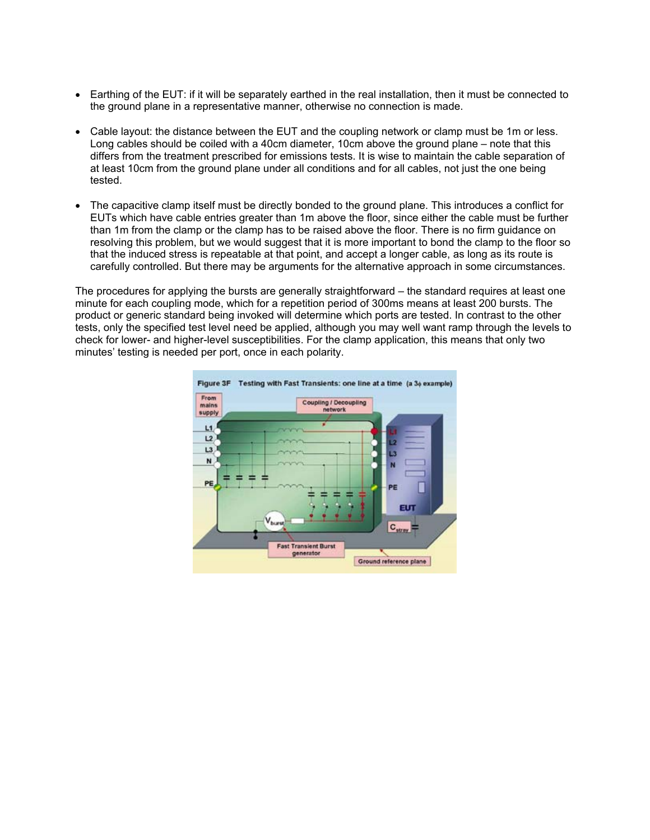- Earthing of the EUT: if it will be separately earthed in the real installation, then it must be connected to the ground plane in a representative manner, otherwise no connection is made.
- Cable layout: the distance between the EUT and the coupling network or clamp must be 1m or less. Long cables should be coiled with a 40cm diameter, 10cm above the ground plane – note that this differs from the treatment prescribed for emissions tests. It is wise to maintain the cable separation of at least 10cm from the ground plane under all conditions and for all cables, not just the one being tested.
- The capacitive clamp itself must be directly bonded to the ground plane. This introduces a conflict for EUTs which have cable entries greater than 1m above the floor, since either the cable must be further than 1m from the clamp or the clamp has to be raised above the floor. There is no firm guidance on resolving this problem, but we would suggest that it is more important to bond the clamp to the floor so that the induced stress is repeatable at that point, and accept a longer cable, as long as its route is carefully controlled. But there may be arguments for the alternative approach in some circumstances.

The procedures for applying the bursts are generally straightforward – the standard requires at least one minute for each coupling mode, which for a repetition period of 300ms means at least 200 bursts. The product or generic standard being invoked will determine which ports are tested. In contrast to the other tests, only the specified test level need be applied, although you may well want ramp through the levels to check for lower- and higher-level susceptibilities. For the clamp application, this means that only two minutes' testing is needed per port, once in each polarity.

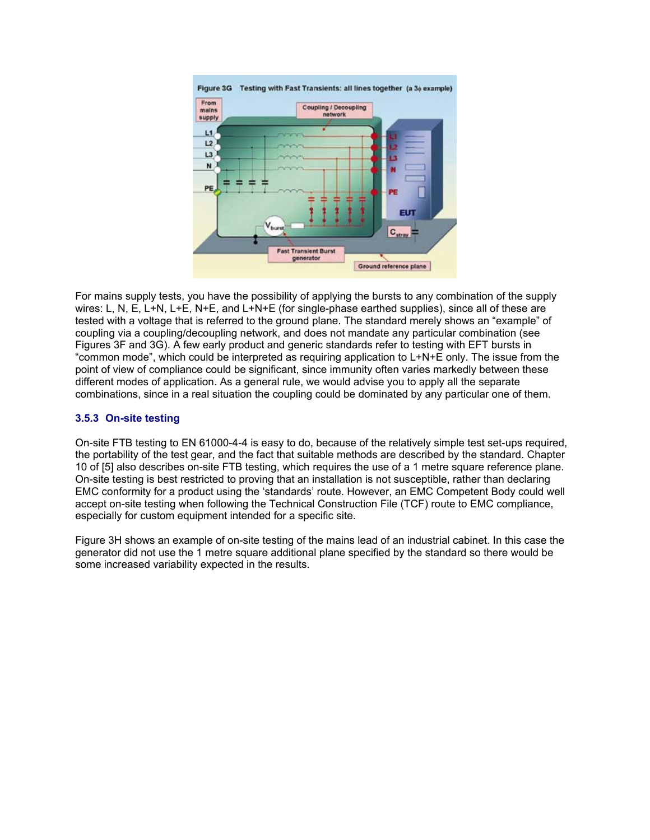

For mains supply tests, you have the possibility of applying the bursts to any combination of the supply wires: L, N, E, L+N, L+E, N+E, and L+N+E (for single-phase earthed supplies), since all of these are tested with a voltage that is referred to the ground plane. The standard merely shows an "example" of coupling via a coupling/decoupling network, and does not mandate any particular combination (see Figures 3F and 3G). A few early product and generic standards refer to testing with EFT bursts in "common mode", which could be interpreted as requiring application to L+N+E only. The issue from the point of view of compliance could be significant, since immunity often varies markedly between these different modes of application. As a general rule, we would advise you to apply all the separate combinations, since in a real situation the coupling could be dominated by any particular one of them.

# **3.5.3 On-site testing**

On-site FTB testing to EN 61000-4-4 is easy to do, because of the relatively simple test set-ups required, the portability of the test gear, and the fact that suitable methods are described by the standard. Chapter 10 of [5] also describes on-site FTB testing, which requires the use of a 1 metre square reference plane. On-site testing is best restricted to proving that an installation is not susceptible, rather than declaring EMC conformity for a product using the 'standards' route. However, an EMC Competent Body could well accept on-site testing when following the Technical Construction File (TCF) route to EMC compliance, especially for custom equipment intended for a specific site.

Figure 3H shows an example of on-site testing of the mains lead of an industrial cabinet. In this case the generator did not use the 1 metre square additional plane specified by the standard so there would be some increased variability expected in the results.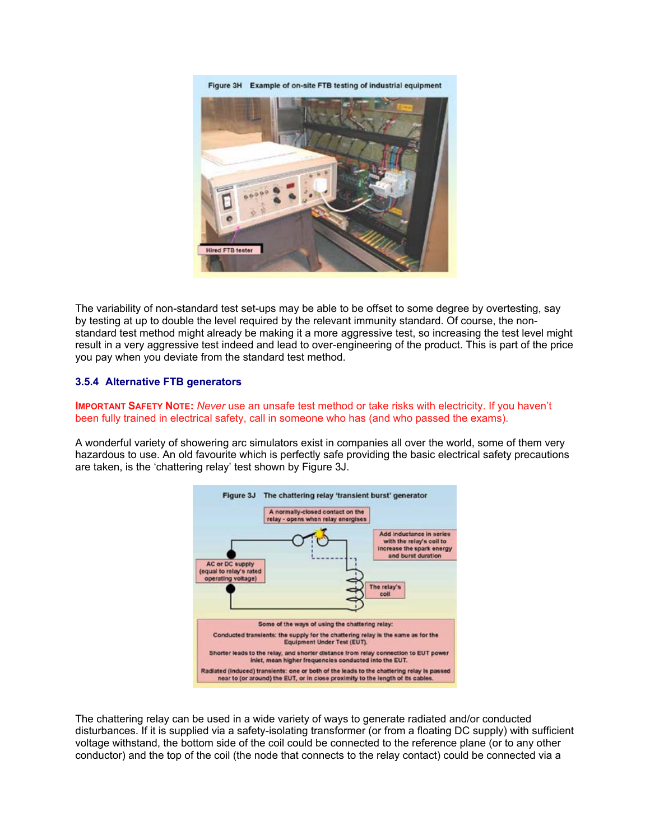Figure 3H Example of on-site FTB testing of industrial equipment



The variability of non-standard test set-ups may be able to be offset to some degree by overtesting, say by testing at up to double the level required by the relevant immunity standard. Of course, the nonstandard test method might already be making it a more aggressive test, so increasing the test level might result in a very aggressive test indeed and lead to over-engineering of the product. This is part of the price you pay when you deviate from the standard test method.

#### **3.5.4 Alternative FTB generators**

**IMPORTANT SAFETY NOTE:** *Never* use an unsafe test method or take risks with electricity. If you haven't been fully trained in electrical safety, call in someone who has (and who passed the exams).

A wonderful variety of showering arc simulators exist in companies all over the world, some of them very hazardous to use. An old favourite which is perfectly safe providing the basic electrical safety precautions are taken, is the 'chattering relay' test shown by Figure 3J.



The chattering relay can be used in a wide variety of ways to generate radiated and/or conducted disturbances. If it is supplied via a safety-isolating transformer (or from a floating DC supply) with sufficient voltage withstand, the bottom side of the coil could be connected to the reference plane (or to any other conductor) and the top of the coil (the node that connects to the relay contact) could be connected via a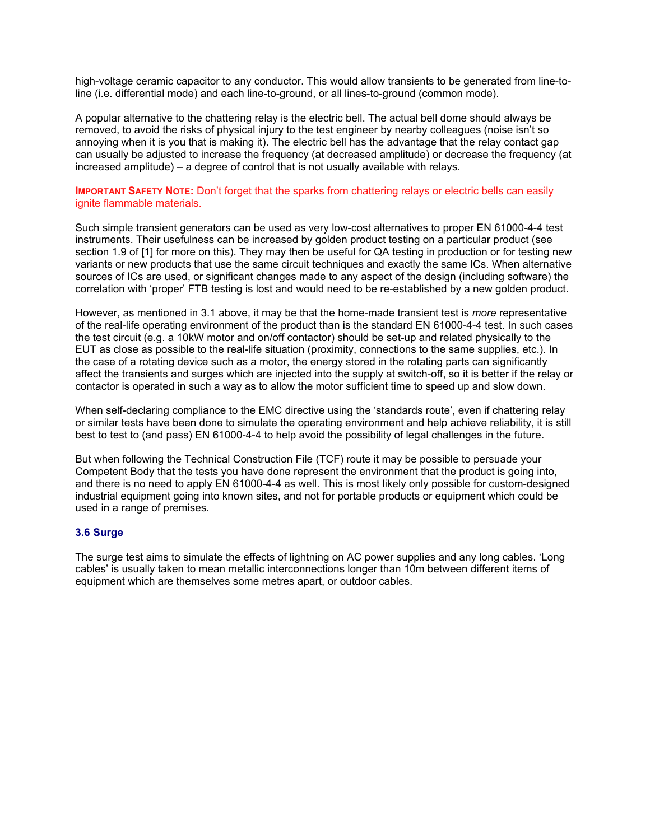high-voltage ceramic capacitor to any conductor. This would allow transients to be generated from line-toline (i.e. differential mode) and each line-to-ground, or all lines-to-ground (common mode).

A popular alternative to the chattering relay is the electric bell. The actual bell dome should always be removed, to avoid the risks of physical injury to the test engineer by nearby colleagues (noise isn't so annoying when it is you that is making it). The electric bell has the advantage that the relay contact gap can usually be adjusted to increase the frequency (at decreased amplitude) or decrease the frequency (at increased amplitude) – a degree of control that is not usually available with relays.

#### **IMPORTANT SAFETY NOTE:** Don't forget that the sparks from chattering relays or electric bells can easily ignite flammable materials.

Such simple transient generators can be used as very low-cost alternatives to proper EN 61000-4-4 test instruments. Their usefulness can be increased by golden product testing on a particular product (see section 1.9 of [1] for more on this). They may then be useful for QA testing in production or for testing new variants or new products that use the same circuit techniques and exactly the same ICs. When alternative sources of ICs are used, or significant changes made to any aspect of the design (including software) the correlation with 'proper' FTB testing is lost and would need to be re-established by a new golden product.

However, as mentioned in 3.1 above, it may be that the home-made transient test is *more* representative of the real-life operating environment of the product than is the standard EN 61000-4-4 test. In such cases the test circuit (e.g. a 10kW motor and on/off contactor) should be set-up and related physically to the EUT as close as possible to the real-life situation (proximity, connections to the same supplies, etc.). In the case of a rotating device such as a motor, the energy stored in the rotating parts can significantly affect the transients and surges which are injected into the supply at switch-off, so it is better if the relay or contactor is operated in such a way as to allow the motor sufficient time to speed up and slow down.

When self-declaring compliance to the EMC directive using the 'standards route', even if chattering relay or similar tests have been done to simulate the operating environment and help achieve reliability, it is still best to test to (and pass) EN 61000-4-4 to help avoid the possibility of legal challenges in the future.

But when following the Technical Construction File (TCF) route it may be possible to persuade your Competent Body that the tests you have done represent the environment that the product is going into, and there is no need to apply EN 61000-4-4 as well. This is most likely only possible for custom-designed industrial equipment going into known sites, and not for portable products or equipment which could be used in a range of premises.

#### **3.6Surge**

The surge test aims to simulate the effects of lightning on AC power supplies and any long cables. 'Long cables' is usually taken to mean metallic interconnections longer than 10m between different items of equipment which are themselves some metres apart, or outdoor cables.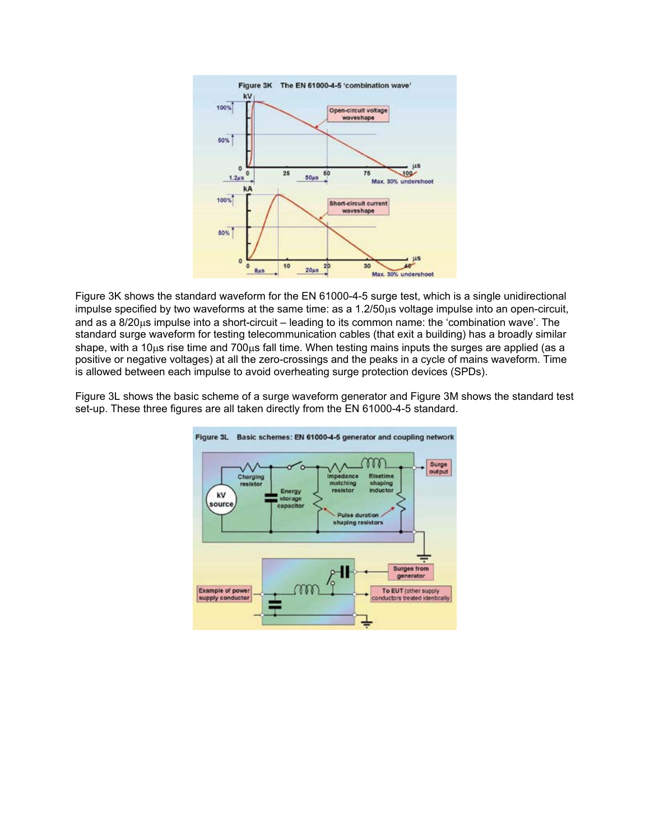

Figure 3K shows the standard waveform for the EN 61000-4-5 surge test, which is a single unidirectional impulse specified by two waveforms at the same time: as a 1.2/50µs voltage impulse into an open-circuit, and as a 8/20µs impulse into a short-circuit – leading to its common name: the 'combination wave'. The standard surge waveform for testing telecommunication cables (that exit a building) has a broadly similar shape, with a 10µs rise time and 700µs fall time. When testing mains inputs the surges are applied (as a positive or negative voltages) at all the zero-crossings and the peaks in a cycle of mains waveform. Time is allowed between each impulse to avoid overheating surge protection devices (SPDs).

Figure 3L shows the basic scheme of a surge waveform generator and Figure 3M shows the standard test set-up. These three figures are all taken directly from the EN 61000-4-5 standard.

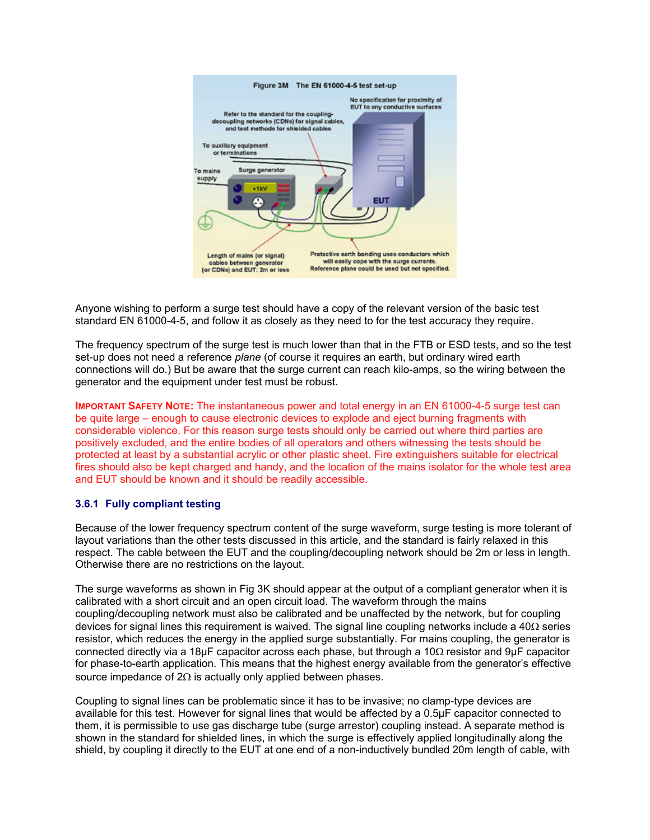

Anyone wishing to perform a surge test should have a copy of the relevant version of the basic test standard EN 61000-4-5, and follow it as closely as they need to for the test accuracy they require.

The frequency spectrum of the surge test is much lower than that in the FTB or ESD tests, and so the test set-up does not need a reference *plane* (of course it requires an earth, but ordinary wired earth connections will do.) But be aware that the surge current can reach kilo-amps, so the wiring between the generator and the equipment under test must be robust.

**IMPORTANT SAFETY NOTE:** The instantaneous power and total energy in an EN 61000-4-5 surge test can be quite large – enough to cause electronic devices to explode and eject burning fragments with considerable violence. For this reason surge tests should only be carried out where third parties are positively excluded, and the entire bodies of all operators and others witnessing the tests should be protected at least by a substantial acrylic or other plastic sheet. Fire extinguishers suitable for electrical fires should also be kept charged and handy, and the location of the mains isolator for the whole test area and EUT should be known and it should be readily accessible.

#### **3.6.1 Fully compliant testing**

Because of the lower frequency spectrum content of the surge waveform, surge testing is more tolerant of layout variations than the other tests discussed in this article, and the standard is fairly relaxed in this respect. The cable between the EUT and the coupling/decoupling network should be 2m or less in length. Otherwise there are no restrictions on the layout.

The surge waveforms as shown in Fig 3K should appear at the output of a compliant generator when it is calibrated with a short circuit and an open circuit load. The waveform through the mains coupling/decoupling network must also be calibrated and be unaffected by the network, but for coupling devices for signal lines this requirement is waived. The signal line coupling networks include a  $40\Omega$  series resistor, which reduces the energy in the applied surge substantially. For mains coupling, the generator is connected directly via a 18µF capacitor across each phase, but through a 10Ω resistor and 9µF capacitor for phase-to-earth application. This means that the highest energy available from the generator's effective source impedance of 2Ω is actually only applied between phases.

Coupling to signal lines can be problematic since it has to be invasive; no clamp-type devices are available for this test. However for signal lines that would be affected by a 0.5µF capacitor connected to them, it is permissible to use gas discharge tube (surge arrestor) coupling instead. A separate method is shown in the standard for shielded lines, in which the surge is effectively applied longitudinally along the shield, by coupling it directly to the EUT at one end of a non-inductively bundled 20m length of cable, with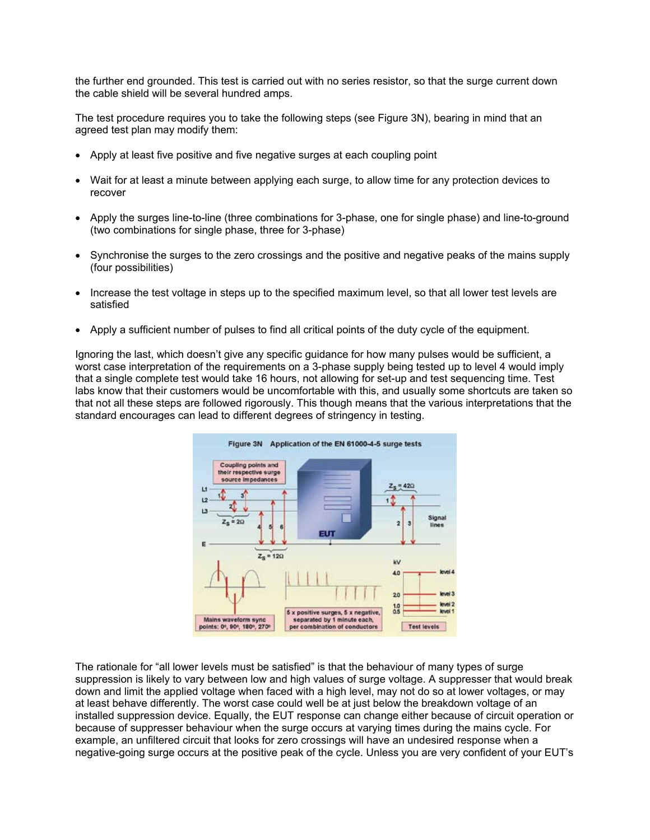the further end grounded. This test is carried out with no series resistor, so that the surge current down the cable shield will be several hundred amps.

The test procedure requires you to take the following steps (see Figure 3N), bearing in mind that an agreed test plan may modify them:

- Apply at least five positive and five negative surges at each coupling point
- Wait for at least a minute between applying each surge, to allow time for any protection devices to recover
- Apply the surges line-to-line (three combinations for 3-phase, one for single phase) and line-to-ground (two combinations for single phase, three for 3-phase)
- Synchronise the surges to the zero crossings and the positive and negative peaks of the mains supply (four possibilities)
- Increase the test voltage in steps up to the specified maximum level, so that all lower test levels are satisfied
- Apply a sufficient number of pulses to find all critical points of the duty cycle of the equipment.

Ignoring the last, which doesn't give any specific guidance for how many pulses would be sufficient, a worst case interpretation of the requirements on a 3-phase supply being tested up to level 4 would imply that a single complete test would take 16 hours, not allowing for set-up and test sequencing time. Test labs know that their customers would be uncomfortable with this, and usually some shortcuts are taken so that not all these steps are followed rigorously. This though means that the various interpretations that the standard encourages can lead to different degrees of stringency in testing.



The rationale for "all lower levels must be satisfied" is that the behaviour of many types of surge suppression is likely to vary between low and high values of surge voltage. A suppresser that would break down and limit the applied voltage when faced with a high level, may not do so at lower voltages, or may at least behave differently. The worst case could well be at just below the breakdown voltage of an installed suppression device. Equally, the EUT response can change either because of circuit operation or because of suppresser behaviour when the surge occurs at varying times during the mains cycle. For example, an unfiltered circuit that looks for zero crossings will have an undesired response when a negative-going surge occurs at the positive peak of the cycle. Unless you are very confident of your EUT's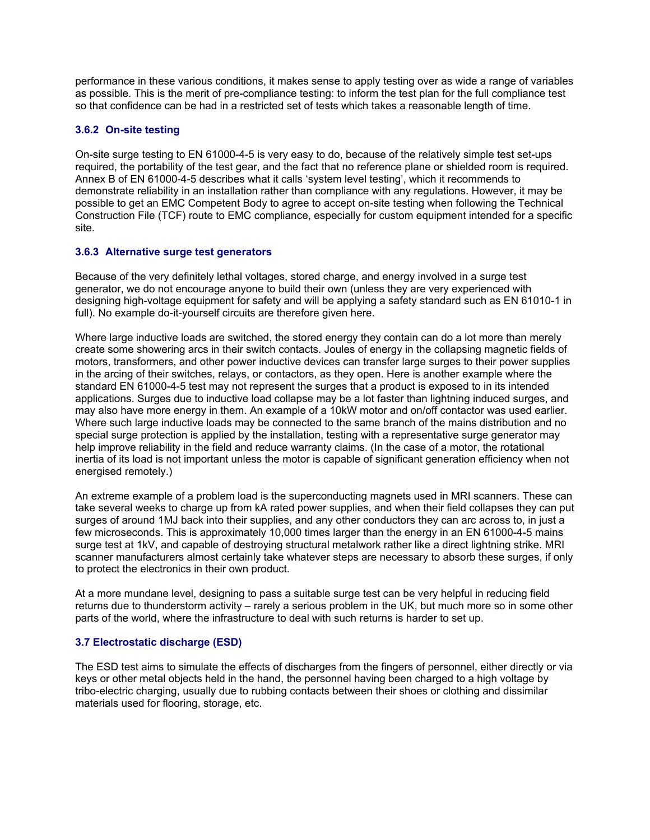performance in these various conditions, it makes sense to apply testing over as wide a range of variables as possible. This is the merit of pre-compliance testing: to inform the test plan for the full compliance test so that confidence can be had in a restricted set of tests which takes a reasonable length of time.

# **3.6.2 On-site testing**

On-site surge testing to EN 61000-4-5 is very easy to do, because of the relatively simple test set-ups required, the portability of the test gear, and the fact that no reference plane or shielded room is required. Annex B of EN 61000-4-5 describes what it calls 'system level testing', which it recommends to demonstrate reliability in an installation rather than compliance with any regulations. However, it may be possible to get an EMC Competent Body to agree to accept on-site testing when following the Technical Construction File (TCF) route to EMC compliance, especially for custom equipment intended for a specific site.

# **3.6.3 Alternative surge test generators**

Because of the very definitely lethal voltages, stored charge, and energy involved in a surge test generator, we do not encourage anyone to build their own (unless they are very experienced with designing high-voltage equipment for safety and will be applying a safety standard such as EN 61010-1 in full). No example do-it-yourself circuits are therefore given here.

Where large inductive loads are switched, the stored energy they contain can do a lot more than merely create some showering arcs in their switch contacts. Joules of energy in the collapsing magnetic fields of motors, transformers, and other power inductive devices can transfer large surges to their power supplies in the arcing of their switches, relays, or contactors, as they open. Here is another example where the standard EN 61000-4-5 test may not represent the surges that a product is exposed to in its intended applications. Surges due to inductive load collapse may be a lot faster than lightning induced surges, and may also have more energy in them. An example of a 10kW motor and on/off contactor was used earlier. Where such large inductive loads may be connected to the same branch of the mains distribution and no special surge protection is applied by the installation, testing with a representative surge generator may help improve reliability in the field and reduce warranty claims. (In the case of a motor, the rotational inertia of its load is not important unless the motor is capable of significant generation efficiency when not energised remotely.)

An extreme example of a problem load is the superconducting magnets used in MRI scanners. These can take several weeks to charge up from kA rated power supplies, and when their field collapses they can put surges of around 1MJ back into their supplies, and any other conductors they can arc across to, in just a few microseconds. This is approximately 10,000 times larger than the energy in an EN 61000-4-5 mains surge test at 1kV, and capable of destroying structural metalwork rather like a direct lightning strike. MRI scanner manufacturers almost certainly take whatever steps are necessary to absorb these surges, if only to protect the electronics in their own product.

At a more mundane level, designing to pass a suitable surge test can be very helpful in reducing field returns due to thunderstorm activity – rarely a serious problem in the UK, but much more so in some other parts of the world, where the infrastructure to deal with such returns is harder to set up.

#### **3.7 Electrostatic discharge (ESD)**

The ESD test aims to simulate the effects of discharges from the fingers of personnel, either directly or via keys or other metal objects held in the hand, the personnel having been charged to a high voltage by tribo-electric charging, usually due to rubbing contacts between their shoes or clothing and dissimilar materials used for flooring, storage, etc.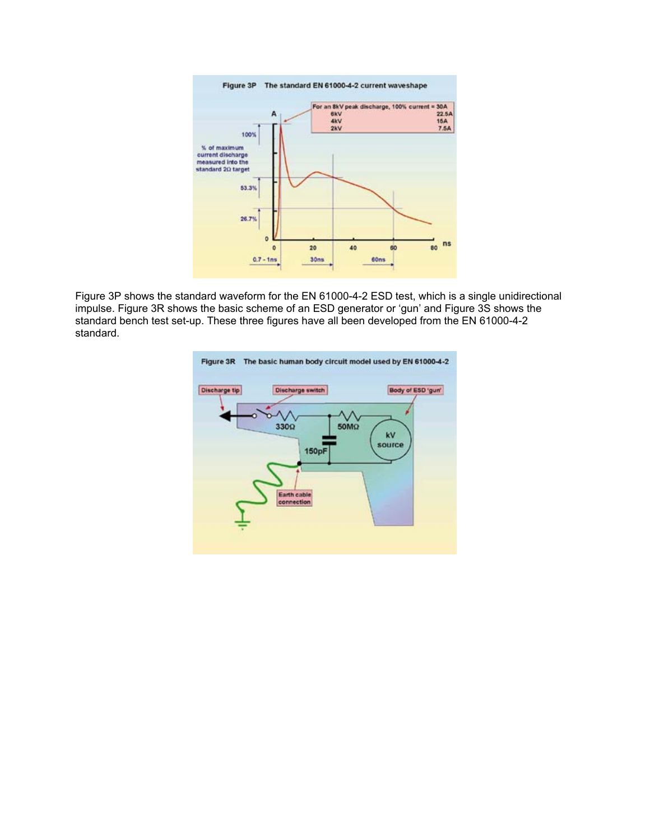

Figure 3P shows the standard waveform for the EN 61000-4-2 ESD test, which is a single unidirectional impulse. Figure 3R shows the basic scheme of an ESD generator or 'gun' and Figure 3S shows the standard bench test set-up. These three figures have all been developed from the EN 61000-4-2 standard.

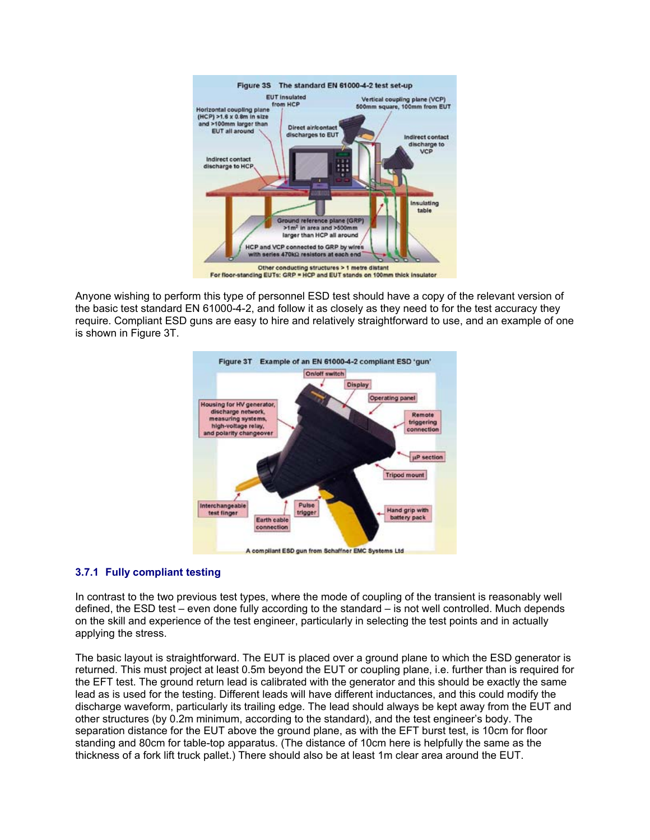

Anyone wishing to perform this type of personnel ESD test should have a copy of the relevant version of the basic test standard EN 61000-4-2, and follow it as closely as they need to for the test accuracy they require. Compliant ESD guns are easy to hire and relatively straightforward to use, and an example of one is shown in Figure 3T.



# **3.7.1 Fully compliant testing**

In contrast to the two previous test types, where the mode of coupling of the transient is reasonably well defined, the ESD test – even done fully according to the standard – is not well controlled. Much depends on the skill and experience of the test engineer, particularly in selecting the test points and in actually applying the stress.

The basic layout is straightforward. The EUT is placed over a ground plane to which the ESD generator is returned. This must project at least 0.5m beyond the EUT or coupling plane, i.e. further than is required for the EFT test. The ground return lead is calibrated with the generator and this should be exactly the same lead as is used for the testing. Different leads will have different inductances, and this could modify the discharge waveform, particularly its trailing edge. The lead should always be kept away from the EUT and other structures (by 0.2m minimum, according to the standard), and the test engineer's body. The separation distance for the EUT above the ground plane, as with the EFT burst test, is 10cm for floor standing and 80cm for table-top apparatus. (The distance of 10cm here is helpfully the same as the thickness of a fork lift truck pallet.) There should also be at least 1m clear area around the EUT.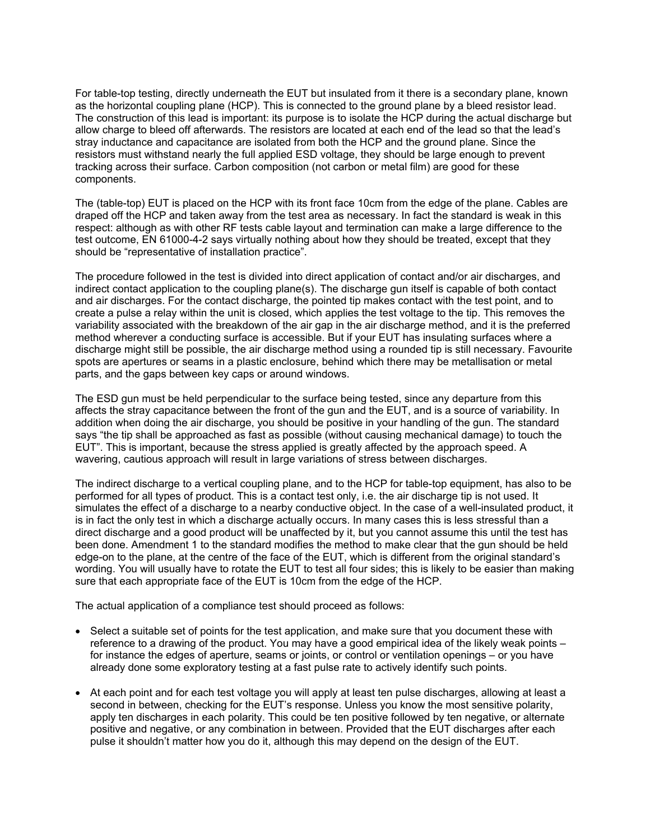For table-top testing, directly underneath the EUT but insulated from it there is a secondary plane, known as the horizontal coupling plane (HCP). This is connected to the ground plane by a bleed resistor lead. The construction of this lead is important: its purpose is to isolate the HCP during the actual discharge but allow charge to bleed off afterwards. The resistors are located at each end of the lead so that the lead's stray inductance and capacitance are isolated from both the HCP and the ground plane. Since the resistors must withstand nearly the full applied ESD voltage, they should be large enough to prevent tracking across their surface. Carbon composition (not carbon or metal film) are good for these components.

The (table-top) EUT is placed on the HCP with its front face 10cm from the edge of the plane. Cables are draped off the HCP and taken away from the test area as necessary. In fact the standard is weak in this respect: although as with other RF tests cable layout and termination can make a large difference to the test outcome, EN 61000-4-2 says virtually nothing about how they should be treated, except that they should be "representative of installation practice".

The procedure followed in the test is divided into direct application of contact and/or air discharges, and indirect contact application to the coupling plane(s). The discharge gun itself is capable of both contact and air discharges. For the contact discharge, the pointed tip makes contact with the test point, and to create a pulse a relay within the unit is closed, which applies the test voltage to the tip. This removes the variability associated with the breakdown of the air gap in the air discharge method, and it is the preferred method wherever a conducting surface is accessible. But if your EUT has insulating surfaces where a discharge might still be possible, the air discharge method using a rounded tip is still necessary. Favourite spots are apertures or seams in a plastic enclosure, behind which there may be metallisation or metal parts, and the gaps between key caps or around windows.

The ESD gun must be held perpendicular to the surface being tested, since any departure from this affects the stray capacitance between the front of the gun and the EUT, and is a source of variability. In addition when doing the air discharge, you should be positive in your handling of the gun. The standard says "the tip shall be approached as fast as possible (without causing mechanical damage) to touch the EUT". This is important, because the stress applied is greatly affected by the approach speed. A wavering, cautious approach will result in large variations of stress between discharges.

The indirect discharge to a vertical coupling plane, and to the HCP for table-top equipment, has also to be performed for all types of product. This is a contact test only, i.e. the air discharge tip is not used. It simulates the effect of a discharge to a nearby conductive object. In the case of a well-insulated product, it is in fact the only test in which a discharge actually occurs. In many cases this is less stressful than a direct discharge and a good product will be unaffected by it, but you cannot assume this until the test has been done. Amendment 1 to the standard modifies the method to make clear that the gun should be held edge-on to the plane, at the centre of the face of the EUT, which is different from the original standard's wording. You will usually have to rotate the EUT to test all four sides; this is likely to be easier than making sure that each appropriate face of the EUT is 10cm from the edge of the HCP.

The actual application of a compliance test should proceed as follows:

- Select a suitable set of points for the test application, and make sure that you document these with reference to a drawing of the product. You may have a good empirical idea of the likely weak points – for instance the edges of aperture, seams or joints, or control or ventilation openings – or you have already done some exploratory testing at a fast pulse rate to actively identify such points.
- At each point and for each test voltage you will apply at least ten pulse discharges, allowing at least a second in between, checking for the EUT's response. Unless you know the most sensitive polarity, apply ten discharges in each polarity. This could be ten positive followed by ten negative, or alternate positive and negative, or any combination in between. Provided that the EUT discharges after each pulse it shouldn't matter how you do it, although this may depend on the design of the EUT.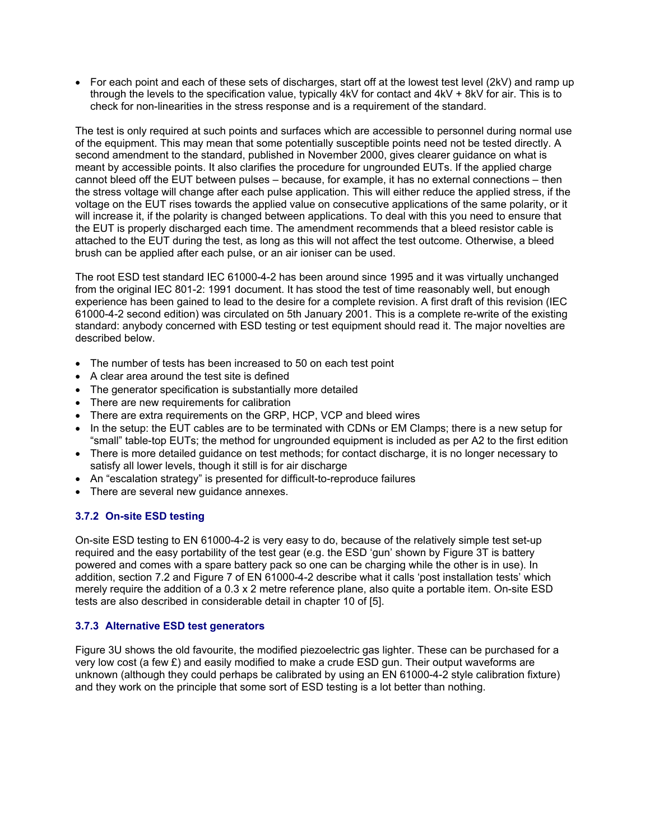• For each point and each of these sets of discharges, start off at the lowest test level (2kV) and ramp up through the levels to the specification value, typically 4kV for contact and 4kV + 8kV for air. This is to check for non-linearities in the stress response and is a requirement of the standard.

The test is only required at such points and surfaces which are accessible to personnel during normal use of the equipment. This may mean that some potentially susceptible points need not be tested directly. A second amendment to the standard, published in November 2000, gives clearer guidance on what is meant by accessible points. It also clarifies the procedure for ungrounded EUTs. If the applied charge cannot bleed off the EUT between pulses – because, for example, it has no external connections – then the stress voltage will change after each pulse application. This will either reduce the applied stress, if the voltage on the EUT rises towards the applied value on consecutive applications of the same polarity, or it will increase it, if the polarity is changed between applications. To deal with this you need to ensure that the EUT is properly discharged each time. The amendment recommends that a bleed resistor cable is attached to the EUT during the test, as long as this will not affect the test outcome. Otherwise, a bleed brush can be applied after each pulse, or an air ioniser can be used.

The root ESD test standard IEC 61000-4-2 has been around since 1995 and it was virtually unchanged from the original IEC 801-2: 1991 document. It has stood the test of time reasonably well, but enough experience has been gained to lead to the desire for a complete revision. A first draft of this revision (IEC 61000-4-2 second edition) was circulated on 5th January 2001. This is a complete re-write of the existing standard: anybody concerned with ESD testing or test equipment should read it. The major novelties are described below.

- The number of tests has been increased to 50 on each test point
- A clear area around the test site is defined
- The generator specification is substantially more detailed
- There are new requirements for calibration
- There are extra requirements on the GRP, HCP, VCP and bleed wires
- In the setup: the EUT cables are to be terminated with CDNs or EM Clamps; there is a new setup for "small" table-top EUTs; the method for ungrounded equipment is included as per A2 to the first edition
- There is more detailed guidance on test methods; for contact discharge, it is no longer necessary to satisfy all lower levels, though it still is for air discharge
- An "escalation strategy" is presented for difficult-to-reproduce failures
- There are several new guidance annexes.

# **3.7.2 On-site ESD testing**

On-site ESD testing to EN 61000-4-2 is very easy to do, because of the relatively simple test set-up required and the easy portability of the test gear (e.g. the ESD 'gun' shown by Figure 3T is battery powered and comes with a spare battery pack so one can be charging while the other is in use). In addition, section 7.2 and Figure 7 of EN 61000-4-2 describe what it calls 'post installation tests' which merely require the addition of a 0.3 x 2 metre reference plane, also quite a portable item. On-site ESD tests are also described in considerable detail in chapter 10 of [5].

# **3.7.3 Alternative ESD test generators**

Figure 3U shows the old favourite, the modified piezoelectric gas lighter. These can be purchased for a very low cost (a few  $E$ ) and easily modified to make a crude ESD gun. Their output waveforms are unknown (although they could perhaps be calibrated by using an EN 61000-4-2 style calibration fixture) and they work on the principle that some sort of ESD testing is a lot better than nothing.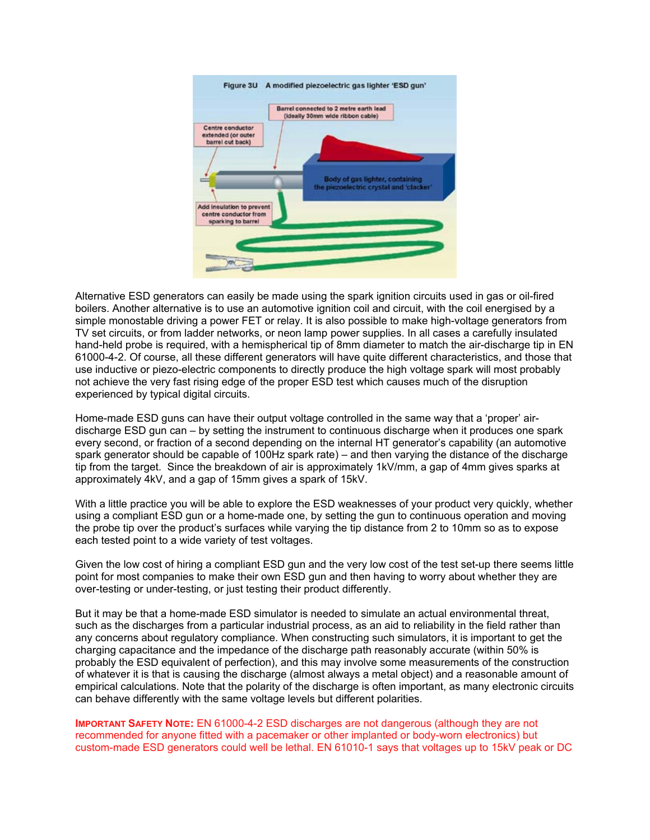

Alternative ESD generators can easily be made using the spark ignition circuits used in gas or oil-fired boilers. Another alternative is to use an automotive ignition coil and circuit, with the coil energised by a simple monostable driving a power FET or relay. It is also possible to make high-voltage generators from TV set circuits, or from ladder networks, or neon lamp power supplies. In all cases a carefully insulated hand-held probe is required, with a hemispherical tip of 8mm diameter to match the air-discharge tip in EN 61000-4-2. Of course, all these different generators will have quite different characteristics, and those that use inductive or piezo-electric components to directly produce the high voltage spark will most probably not achieve the very fast rising edge of the proper ESD test which causes much of the disruption experienced by typical digital circuits.

Home-made ESD guns can have their output voltage controlled in the same way that a 'proper' airdischarge ESD gun can – by setting the instrument to continuous discharge when it produces one spark every second, or fraction of a second depending on the internal HT generator's capability (an automotive spark generator should be capable of 100Hz spark rate) – and then varying the distance of the discharge tip from the target. Since the breakdown of air is approximately 1kV/mm, a gap of 4mm gives sparks at approximately 4kV, and a gap of 15mm gives a spark of 15kV.

With a little practice you will be able to explore the ESD weaknesses of your product very quickly, whether using a compliant ESD gun or a home-made one, by setting the gun to continuous operation and moving the probe tip over the product's surfaces while varying the tip distance from 2 to 10mm so as to expose each tested point to a wide variety of test voltages.

Given the low cost of hiring a compliant ESD gun and the very low cost of the test set-up there seems little point for most companies to make their own ESD gun and then having to worry about whether they are over-testing or under-testing, or just testing their product differently.

But it may be that a home-made ESD simulator is needed to simulate an actual environmental threat, such as the discharges from a particular industrial process, as an aid to reliability in the field rather than any concerns about regulatory compliance. When constructing such simulators, it is important to get the charging capacitance and the impedance of the discharge path reasonably accurate (within 50% is probably the ESD equivalent of perfection), and this may involve some measurements of the construction of whatever it is that is causing the discharge (almost always a metal object) and a reasonable amount of empirical calculations. Note that the polarity of the discharge is often important, as many electronic circuits can behave differently with the same voltage levels but different polarities.

**IMPORTANT SAFETY NOTE:** EN 61000-4-2 ESD discharges are not dangerous (although they are not recommended for anyone fitted with a pacemaker or other implanted or body-worn electronics) but custom-made ESD generators could well be lethal. EN 61010-1 says that voltages up to 15kV peak or DC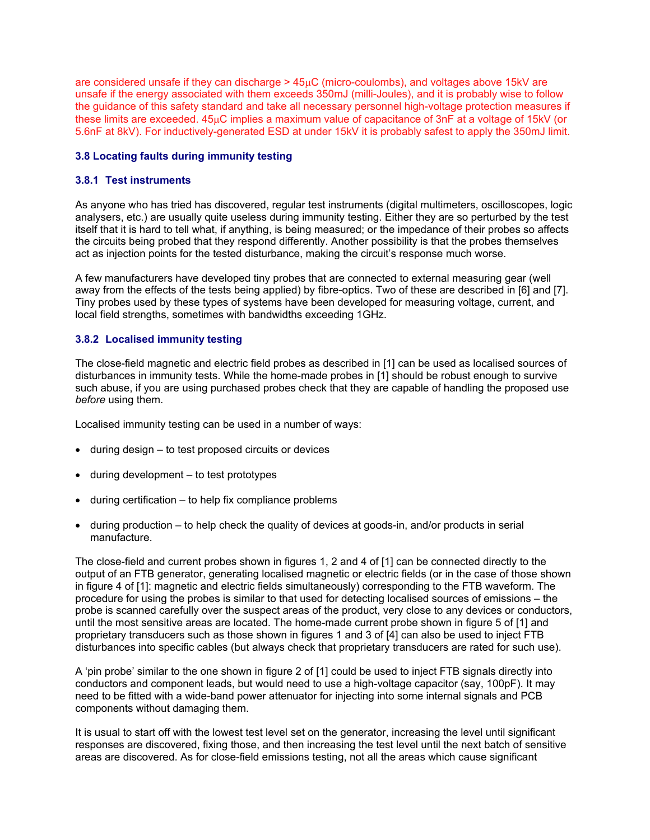are considered unsafe if they can discharge > 45µC (micro-coulombs), and voltages above 15kV are unsafe if the energy associated with them exceeds 350mJ (milli-Joules), and it is probably wise to follow the guidance of this safety standard and take all necessary personnel high-voltage protection measures if these limits are exceeded. 45µC implies a maximum value of capacitance of 3nF at a voltage of 15kV (or 5.6nF at 8kV). For inductively-generated ESD at under 15kV it is probably safest to apply the 350mJ limit.

#### **3.8 Locating faults during immunity testing**

# **3.8.1 Test instruments**

As anyone who has tried has discovered, regular test instruments (digital multimeters, oscilloscopes, logic analysers, etc.) are usually quite useless during immunity testing. Either they are so perturbed by the test itself that it is hard to tell what, if anything, is being measured; or the impedance of their probes so affects the circuits being probed that they respond differently. Another possibility is that the probes themselves act as injection points for the tested disturbance, making the circuit's response much worse.

A few manufacturers have developed tiny probes that are connected to external measuring gear (well away from the effects of the tests being applied) by fibre-optics. Two of these are described in [6] and [7]. Tiny probes used by these types of systems have been developed for measuring voltage, current, and local field strengths, sometimes with bandwidths exceeding 1GHz.

# **3.8.2 Localised immunity testing**

The close-field magnetic and electric field probes as described in [1] can be used as localised sources of disturbances in immunity tests. While the home-made probes in [1] should be robust enough to survive such abuse, if you are using purchased probes check that they are capable of handling the proposed use *before* using them.

Localised immunity testing can be used in a number of ways:

- during design to test proposed circuits or devices
- during development to test prototypes
- during certification  $-$  to help fix compliance problems
- during production to help check the quality of devices at goods-in, and/or products in serial manufacture.

The close-field and current probes shown in figures 1, 2 and 4 of [1] can be connected directly to the output of an FTB generator, generating localised magnetic or electric fields (or in the case of those shown in figure 4 of [1]: magnetic and electric fields simultaneously) corresponding to the FTB waveform. The procedure for using the probes is similar to that used for detecting localised sources of emissions – the probe is scanned carefully over the suspect areas of the product, very close to any devices or conductors, until the most sensitive areas are located. The home-made current probe shown in figure 5 of [1] and proprietary transducers such as those shown in figures 1 and 3 of [4] can also be used to inject FTB disturbances into specific cables (but always check that proprietary transducers are rated for such use).

A 'pin probe' similar to the one shown in figure 2 of [1] could be used to inject FTB signals directly into conductors and component leads, but would need to use a high-voltage capacitor (say, 100pF). It may need to be fitted with a wide-band power attenuator for injecting into some internal signals and PCB components without damaging them.

It is usual to start off with the lowest test level set on the generator, increasing the level until significant responses are discovered, fixing those, and then increasing the test level until the next batch of sensitive areas are discovered. As for close-field emissions testing, not all the areas which cause significant